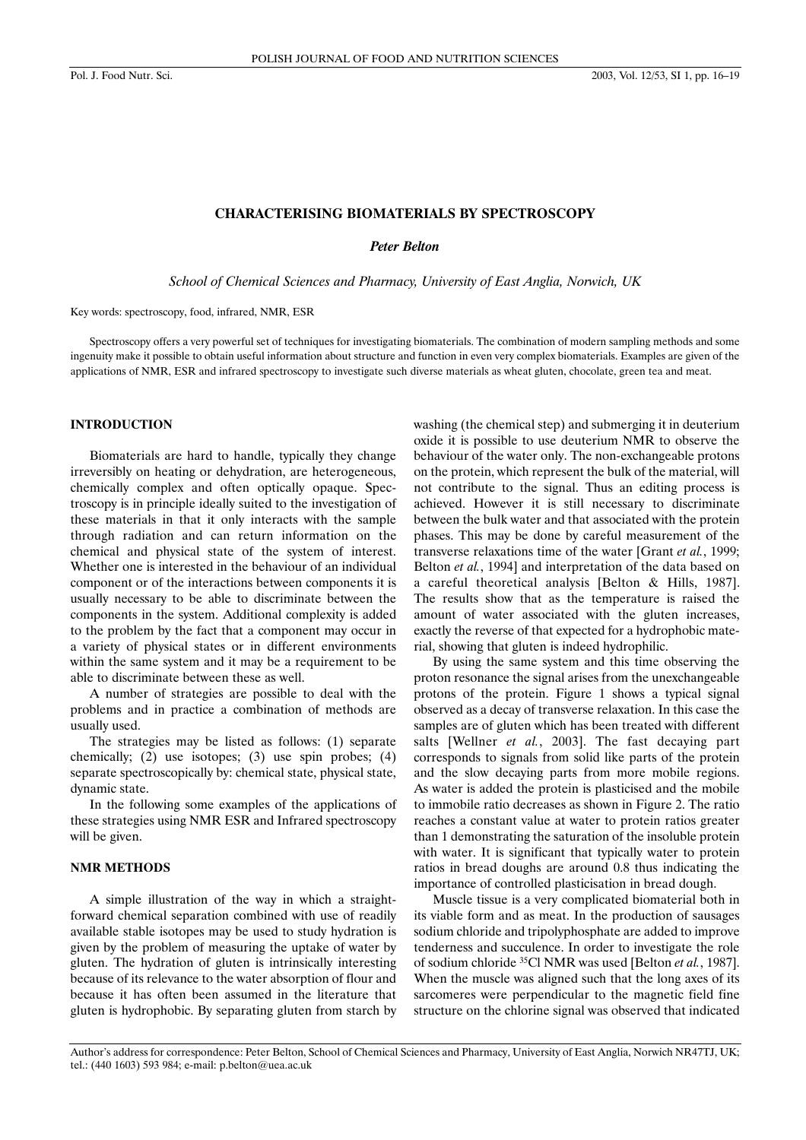### **CHARACTERISING BIOMATERIALS BY SPECTROSCOPY**

*Peter Belton* 

*School of Chemical Sciences and Pharmacy, University of East Anglia, Norwich, UK*

Key words: spectroscopy, food, infrared, NMR, ESR

Spectroscopy offers a very powerful set of techniques for investigating biomaterials. The combination of modern sampling methods and some ingenuity make it possible to obtain useful information about structure and function in even very complex biomaterials. Examples are given of the applications of NMR, ESR and infrared spectroscopy to investigate such diverse materials as wheat gluten, chocolate, green tea and meat.

## **INTRODUCTION**

Biomaterials are hard to handle, typically they change irreversibly on heating or dehydration, are heterogeneous, chemically complex and often optically opaque. Spectroscopy is in principle ideally suited to the investigation of these materials in that it only interacts with the sample through radiation and can return information on the chemical and physical state of the system of interest. Whether one is interested in the behaviour of an individual component or of the interactions between components it is usually necessary to be able to discriminate between the components in the system. Additional complexity is added to the problem by the fact that a component may occur in a variety of physical states or in different environments within the same system and it may be a requirement to be able to discriminate between these as well.

A number of strategies are possible to deal with the problems and in practice a combination of methods are usually used.

The strategies may be listed as follows: (1) separate chemically; (2) use isotopes; (3) use spin probes; (4) separate spectroscopically by: chemical state, physical state, dynamic state.

In the following some examples of the applications of these strategies using NMR ESR and Infrared spectroscopy will be given.

## **NMR METHODS**

A simple illustration of the way in which a straightforward chemical separation combined with use of readily available stable isotopes may be used to study hydration is given by the problem of measuring the uptake of water by gluten. The hydration of gluten is intrinsically interesting because of its relevance to the water absorption of flour and because it has often been assumed in the literature that gluten is hydrophobic. By separating gluten from starch by washing (the chemical step) and submerging it in deuterium oxide it is possible to use deuterium NMR to observe the behaviour of the water only. The non-exchangeable protons on the protein, which represent the bulk of the material, will not contribute to the signal. Thus an editing process is achieved. However it is still necessary to discriminate between the bulk water and that associated with the protein phases. This may be done by careful measurement of the transverse relaxations time of the water [Grant *et al.*, 1999; Belton *et al.*, 1994] and interpretation of the data based on a careful theoretical analysis [Belton & Hills, 1987]. The results show that as the temperature is raised the amount of water associated with the gluten increases, exactly the reverse of that expected for a hydrophobic material, showing that gluten is indeed hydrophilic.

By using the same system and this time observing the proton resonance the signal arises from the unexchangeable protons of the protein. Figure 1 shows a typical signal observed as a decay of transverse relaxation. In this case the samples are of gluten which has been treated with different salts [Wellner *et al.*, 2003]. The fast decaying part corresponds to signals from solid like parts of the protein and the slow decaying parts from more mobile regions. As water is added the protein is plasticised and the mobile to immobile ratio decreases as shown in Figure 2. The ratio reaches a constant value at water to protein ratios greater than 1 demonstrating the saturation of the insoluble protein with water. It is significant that typically water to protein ratios in bread doughs are around 0.8 thus indicating the importance of controlled plasticisation in bread dough.

Muscle tissue is a very complicated biomaterial both in its viable form and as meat. In the production of sausages sodium chloride and tripolyphosphate are added to improve tenderness and succulence. In order to investigate the role of sodium chloride 35Cl NMR was used [Belton *et al.*, 1987]. When the muscle was aligned such that the long axes of its sarcomeres were perpendicular to the magnetic field fine structure on the chlorine signal was observed that indicated

Author's address for correspondence: Peter Belton, School of Chemical Sciences and Pharmacy, University of East Anglia, Norwich NR47TJ, UK; tel.: (440 1603) 593 984; e-mail: p.belton@uea.ac.uk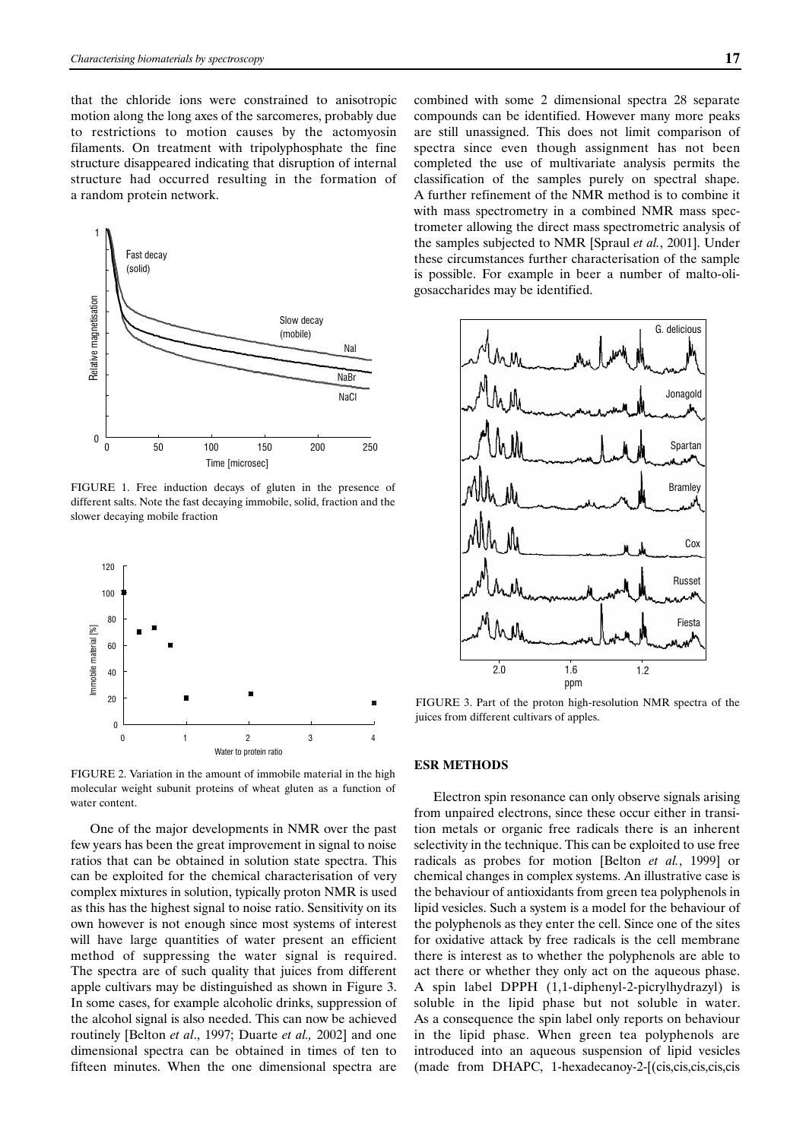that the chloride ions were constrained to anisotropic motion along the long axes of the sarcomeres, probably due to restrictions to motion causes by the actomyosin filaments. On treatment with tripolyphosphate the fine structure disappeared indicating that disruption of internal structure had occurred resulting in the formation of a random protein network.



FIGURE 1. Free induction decays of gluten in the presence of different salts. Note the fast decaying immobile, solid, fraction and the slower decaying mobile fraction



FIGURE 2. Variation in the amount of immobile material in the high molecular weight subunit proteins of wheat gluten as a function of water content.

One of the major developments in NMR over the past few years has been the great improvement in signal to noise ratios that can be obtained in solution state spectra. This can be exploited for the chemical characterisation of very complex mixtures in solution, typically proton NMR is used as this has the highest signal to noise ratio. Sensitivity on its own however is not enough since most systems of interest will have large quantities of water present an efficient method of suppressing the water signal is required. The spectra are of such quality that juices from different apple cultivars may be distinguished as shown in Figure 3. In some cases, for example alcoholic drinks, suppression of the alcohol signal is also needed. This can now be achieved routinely [Belton *et al*., 1997; Duarte *et al.,* 2002] and one dimensional spectra can be obtained in times of ten to fifteen minutes. When the one dimensional spectra are combined with some 2 dimensional spectra 28 separate compounds can be identified. However many more peaks are still unassigned. This does not limit comparison of spectra since even though assignment has not been completed the use of multivariate analysis permits the classification of the samples purely on spectral shape. A further refinement of the NMR method is to combine it with mass spectrometry in a combined NMR mass spectrometer allowing the direct mass spectrometric analysis of the samples subjected to NMR [Spraul *et al.*, 2001]. Under these circumstances further characterisation of the sample is possible. For example in beer a number of malto-oligosaccharides may be identified.



FIGURE 3. Part of the proton high-resolution NMR spectra of the

## **ESR METHODS**

Electron spin resonance can only observe signals arising from unpaired electrons, since these occur either in transition metals or organic free radicals there is an inherent selectivity in the technique. This can be exploited to use free radicals as probes for motion [Belton *et al.*, 1999] or chemical changes in complex systems. An illustrative case is the behaviour of antioxidants from green tea polyphenols in lipid vesicles. Such a system is a model for the behaviour of the polyphenols as they enter the cell. Since one of the sites for oxidative attack by free radicals is the cell membrane there is interest as to whether the polyphenols are able to act there or whether they only act on the aqueous phase. A spin label DPPH (1,1-diphenyl-2-picrylhydrazyl) is soluble in the lipid phase but not soluble in water. As a consequence the spin label only reports on behaviour in the lipid phase. When green tea polyphenols are introduced into an aqueous suspension of lipid vesicles (made from DHAPC, 1-hexadecanoy-2-[(cis,cis,cis,cis,cis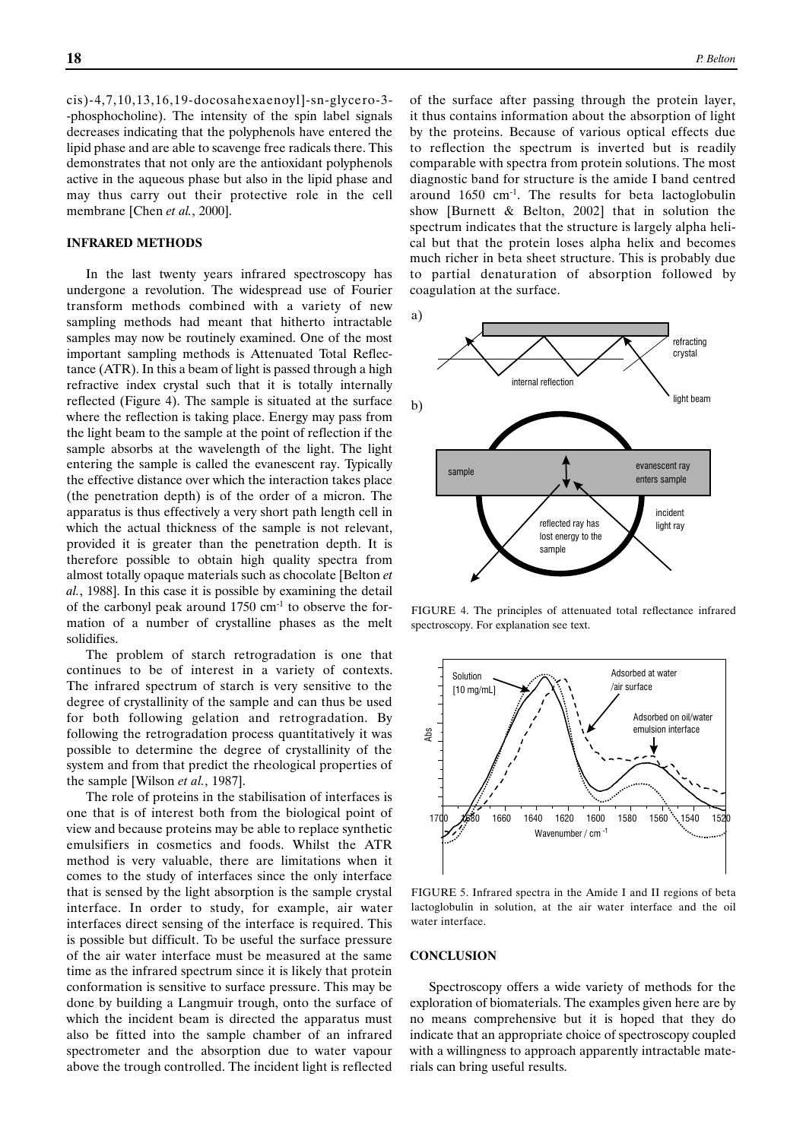cis)-4,7,10,13,16,19-docosahexaenoyl]-sn-glycero-3- -phosphocholine). The intensity of the spin label signals decreases indicating that the polyphenols have entered the lipid phase and are able to scavenge free radicals there. This demonstrates that not only are the antioxidant polyphenols active in the aqueous phase but also in the lipid phase and may thus carry out their protective role in the cell membrane [Chen *et al.*, 2000].

#### **INFRARED METHODS**

In the last twenty years infrared spectroscopy has undergone a revolution. The widespread use of Fourier transform methods combined with a variety of new sampling methods had meant that hitherto intractable samples may now be routinely examined. One of the most important sampling methods is Attenuated Total Reflectance (ATR). In this a beam of light is passed through a high refractive index crystal such that it is totally internally reflected (Figure 4). The sample is situated at the surface where the reflection is taking place. Energy may pass from the light beam to the sample at the point of reflection if the sample absorbs at the wavelength of the light. The light entering the sample is called the evanescent ray. Typically the effective distance over which the interaction takes place (the penetration depth) is of the order of a micron. The apparatus is thus effectively a very short path length cell in which the actual thickness of the sample is not relevant, provided it is greater than the penetration depth. It is therefore possible to obtain high quality spectra from almost totally opaque materials such as chocolate [Belton *et al.*, 1988]. In this case it is possible by examining the detail of the carbonyl peak around  $1750 \text{ cm}^{-1}$  to observe the formation of a number of crystalline phases as the melt solidifies.

The problem of starch retrogradation is one that continues to be of interest in a variety of contexts. The infrared spectrum of starch is very sensitive to the degree of crystallinity of the sample and can thus be used for both following gelation and retrogradation. By following the retrogradation process quantitatively it was possible to determine the degree of crystallinity of the system and from that predict the rheological properties of the sample [Wilson *et al.*, 1987].

The role of proteins in the stabilisation of interfaces is one that is of interest both from the biological point of view and because proteins may be able to replace synthetic emulsifiers in cosmetics and foods. Whilst the ATR method is very valuable, there are limitations when it comes to the study of interfaces since the only interface that is sensed by the light absorption is the sample crystal interface. In order to study, for example, air water interfaces direct sensing of the interface is required. This is possible but difficult. To be useful the surface pressure of the air water interface must be measured at the same time as the infrared spectrum since it is likely that protein conformation is sensitive to surface pressure. This may be done by building a Langmuir trough, onto the surface of which the incident beam is directed the apparatus must also be fitted into the sample chamber of an infrared spectrometer and the absorption due to water vapour above the trough controlled. The incident light is reflected

of the surface after passing through the protein layer, it thus contains information about the absorption of light by the proteins. Because of various optical effects due to reflection the spectrum is inverted but is readily comparable with spectra from protein solutions. The most diagnostic band for structure is the amide I band centred around 1650 cm-1. The results for beta lactoglobulin show [Burnett & Belton, 2002] that in solution the spectrum indicates that the structure is largely alpha helical but that the protein loses alpha helix and becomes much richer in beta sheet structure. This is probably due to partial denaturation of absorption followed by coagulation at the surface.



FIGURE 4. The principles of attenuated total reflectance infrared spectroscopy. For explanation see text.



FIGURE 5. Infrared spectra in the Amide I and II regions of beta lactoglobulin in solution, at the air water interface and the oil water interface.

# **CONCLUSION**

Spectroscopy offers a wide variety of methods for the exploration of biomaterials. The examples given here are by no means comprehensive but it is hoped that they do indicate that an appropriate choice of spectroscopy coupled with a willingness to approach apparently intractable materials can bring useful results.